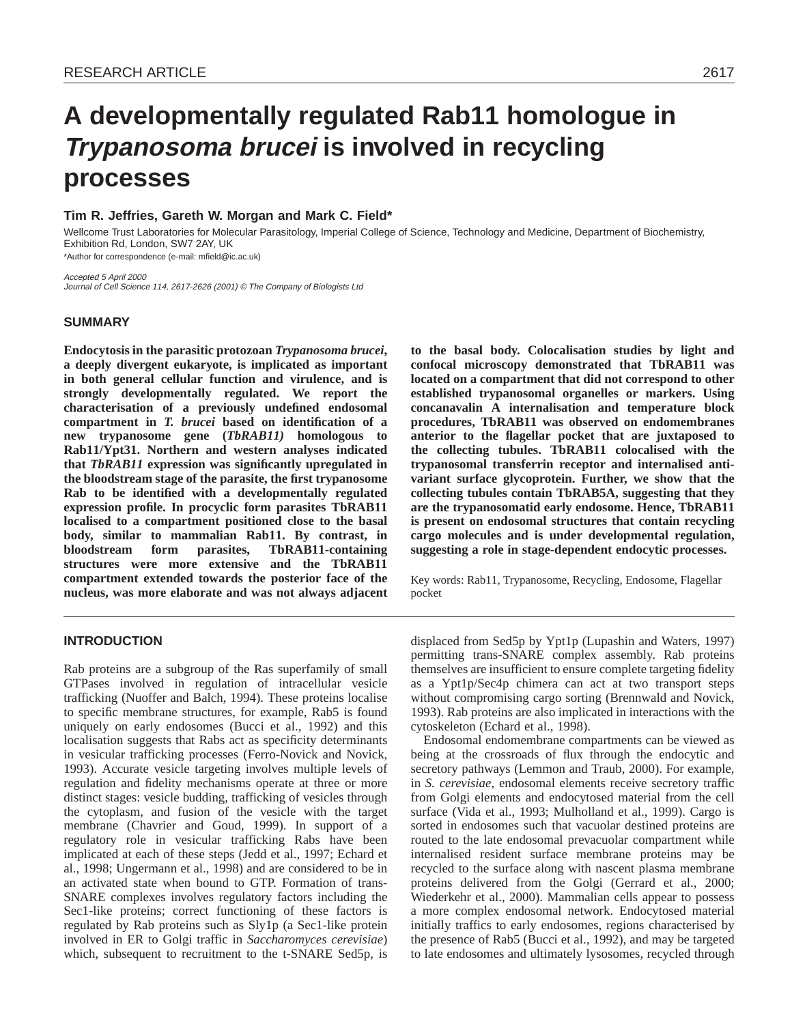# **A developmentally regulated Rab11 homologue in Trypanosoma brucei is involved in recycling processes**

# **Tim R. Jeffries, Gareth W. Morgan and Mark C. Field\***

Wellcome Trust Laboratories for Molecular Parasitology, Imperial College of Science, Technology and Medicine, Department of Biochemistry, Exhibition Rd, London, SW7 2AY, UK

\*Author for correspondence (e-mail: mfield@ic.ac.uk)

Accepted 5 April 2000 Journal of Cell Science 114, 2617-2626 (2001) © The Company of Biologists Ltd

# **SUMMARY**

**Endocytosis in the parasitic protozoan** *Trypanosoma brucei***, a deeply divergent eukaryote, is implicated as important in both general cellular function and virulence, and is strongly developmentally regulated. We report the characterisation of a previously undefined endosomal compartment in** *T. brucei* **based on identification of a new trypanosome gene (***TbRAB11)* **homologous to Rab11/Ypt31. Northern and western analyses indicated that** *TbRAB11* **expression was significantly upregulated in the bloodstream stage of the parasite, the first trypanosome Rab to be identified with a developmentally regulated expression profile. In procyclic form parasites TbRAB11 localised to a compartment positioned close to the basal body, similar to mammalian Rab11. By contrast, in bloodstream form parasites, TbRAB11-containing structures were more extensive and the TbRAB11 compartment extended towards the posterior face of the nucleus, was more elaborate and was not always adjacent**

**INTRODUCTION**

Rab proteins are a subgroup of the Ras superfamily of small GTPases involved in regulation of intracellular vesicle trafficking (Nuoffer and Balch, 1994). These proteins localise to specific membrane structures, for example, Rab5 is found uniquely on early endosomes (Bucci et al., 1992) and this localisation suggests that Rabs act as specificity determinants in vesicular trafficking processes (Ferro-Novick and Novick, 1993). Accurate vesicle targeting involves multiple levels of regulation and fidelity mechanisms operate at three or more distinct stages: vesicle budding, trafficking of vesicles through the cytoplasm, and fusion of the vesicle with the target membrane (Chavrier and Goud, 1999). In support of a regulatory role in vesicular trafficking Rabs have been implicated at each of these steps (Jedd et al., 1997; Echard et al., 1998; Ungermann et al., 1998) and are considered to be in an activated state when bound to GTP. Formation of trans-SNARE complexes involves regulatory factors including the Sec1-like proteins; correct functioning of these factors is regulated by Rab proteins such as Sly1p (a Sec1-like protein involved in ER to Golgi traffic in *Saccharomyces cerevisiae*) which, subsequent to recruitment to the t-SNARE Sed5p, is

**to the basal body. Colocalisation studies by light and confocal microscopy demonstrated that TbRAB11 was located on a compartment that did not correspond to other established trypanosomal organelles or markers. Using concanavalin A internalisation and temperature block procedures, TbRAB11 was observed on endomembranes anterior to the flagellar pocket that are juxtaposed to the collecting tubules. TbRAB11 colocalised with the trypanosomal transferrin receptor and internalised antivariant surface glycoprotein. Further, we show that the collecting tubules contain TbRAB5A, suggesting that they are the trypanosomatid early endosome. Hence, TbRAB11 is present on endosomal structures that contain recycling cargo molecules and is under developmental regulation, suggesting a role in stage-dependent endocytic processes.**

Key words: Rab11, Trypanosome, Recycling, Endosome, Flagellar pocket

displaced from Sed5p by Ypt1p (Lupashin and Waters, 1997) permitting trans-SNARE complex assembly. Rab proteins themselves are insufficient to ensure complete targeting fidelity as a Ypt1p/Sec4p chimera can act at two transport steps without compromising cargo sorting (Brennwald and Novick, 1993). Rab proteins are also implicated in interactions with the cytoskeleton (Echard et al., 1998).

Endosomal endomembrane compartments can be viewed as being at the crossroads of flux through the endocytic and secretory pathways (Lemmon and Traub, 2000). For example, in *S. cerevisiae*, endosomal elements receive secretory traffic from Golgi elements and endocytosed material from the cell surface (Vida et al., 1993; Mulholland et al., 1999). Cargo is sorted in endosomes such that vacuolar destined proteins are routed to the late endosomal prevacuolar compartment while internalised resident surface membrane proteins may be recycled to the surface along with nascent plasma membrane proteins delivered from the Golgi (Gerrard et al., 2000; Wiederkehr et al., 2000). Mammalian cells appear to possess a more complex endosomal network. Endocytosed material initially traffics to early endosomes, regions characterised by the presence of Rab5 (Bucci et al., 1992), and may be targeted to late endosomes and ultimately lysosomes, recycled through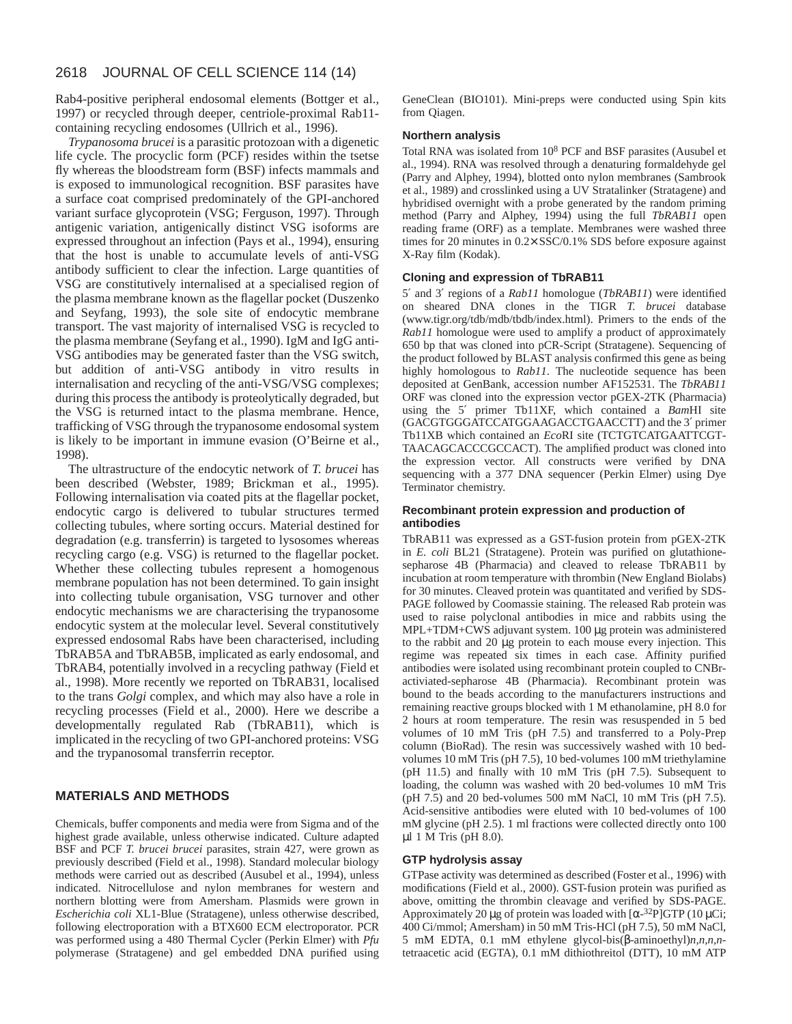Rab4-positive peripheral endosomal elements (Bottger et al., 1997) or recycled through deeper, centriole-proximal Rab11 containing recycling endosomes (Ullrich et al., 1996).

*Trypanosoma brucei* is a parasitic protozoan with a digenetic life cycle. The procyclic form (PCF) resides within the tsetse fly whereas the bloodstream form (BSF) infects mammals and is exposed to immunological recognition. BSF parasites have a surface coat comprised predominately of the GPI-anchored variant surface glycoprotein (VSG; Ferguson, 1997). Through antigenic variation, antigenically distinct VSG isoforms are expressed throughout an infection (Pays et al., 1994), ensuring that the host is unable to accumulate levels of anti-VSG antibody sufficient to clear the infection. Large quantities of VSG are constitutively internalised at a specialised region of the plasma membrane known as the flagellar pocket (Duszenko and Seyfang, 1993), the sole site of endocytic membrane transport. The vast majority of internalised VSG is recycled to the plasma membrane (Seyfang et al., 1990). IgM and IgG anti-VSG antibodies may be generated faster than the VSG switch, but addition of anti-VSG antibody in vitro results in internalisation and recycling of the anti-VSG/VSG complexes; during this process the antibody is proteolytically degraded, but the VSG is returned intact to the plasma membrane. Hence, trafficking of VSG through the trypanosome endosomal system is likely to be important in immune evasion (O'Beirne et al., 1998).

The ultrastructure of the endocytic network of *T. brucei* has been described (Webster, 1989; Brickman et al., 1995). Following internalisation via coated pits at the flagellar pocket, endocytic cargo is delivered to tubular structures termed collecting tubules, where sorting occurs. Material destined for degradation (e.g. transferrin) is targeted to lysosomes whereas recycling cargo (e.g. VSG) is returned to the flagellar pocket. Whether these collecting tubules represent a homogenous membrane population has not been determined. To gain insight into collecting tubule organisation, VSG turnover and other endocytic mechanisms we are characterising the trypanosome endocytic system at the molecular level. Several constitutively expressed endosomal Rabs have been characterised, including TbRAB5A and TbRAB5B, implicated as early endosomal, and TbRAB4, potentially involved in a recycling pathway (Field et al., 1998). More recently we reported on TbRAB31, localised to the trans *Golgi* complex, and which may also have a role in recycling processes (Field et al., 2000). Here we describe a developmentally regulated Rab (TbRAB11), which is implicated in the recycling of two GPI-anchored proteins: VSG and the trypanosomal transferrin receptor.

# **MATERIALS AND METHODS**

Chemicals, buffer components and media were from Sigma and of the highest grade available, unless otherwise indicated. Culture adapted BSF and PCF *T. brucei brucei* parasites, strain 427, were grown as previously described (Field et al., 1998). Standard molecular biology methods were carried out as described (Ausubel et al., 1994), unless indicated. Nitrocellulose and nylon membranes for western and northern blotting were from Amersham. Plasmids were grown in *Escherichia coli* XL1-Blue (Stratagene), unless otherwise described, following electroporation with a BTX600 ECM electroporator. PCR was performed using a 480 Thermal Cycler (Perkin Elmer) with *Pfu* polymerase (Stratagene) and gel embedded DNA purified using GeneClean (BIO101). Mini-preps were conducted using Spin kits from Qiagen.

#### **Northern analysis**

Total RNA was isolated from 10<sup>8</sup> PCF and BSF parasites (Ausubel et al., 1994). RNA was resolved through a denaturing formaldehyde gel (Parry and Alphey, 1994), blotted onto nylon membranes (Sambrook et al., 1989) and crosslinked using a UV Stratalinker (Stratagene) and hybridised overnight with a probe generated by the random priming method (Parry and Alphey, 1994) using the full *TbRAB11* open reading frame (ORF) as a template. Membranes were washed three times for 20 minutes in 0.2× SSC/0.1% SDS before exposure against X-Ray film (Kodak).

#### **Cloning and expression of TbRAB11**

5′ and 3′ regions of a *Rab11* homologue (*TbRAB11*) were identified on sheared DNA clones in the TIGR *T. brucei* database (www.tigr.org/tdb/mdb/tbdb/index.html). Primers to the ends of the *Rab11* homologue were used to amplify a product of approximately 650 bp that was cloned into pCR-Script (Stratagene). Sequencing of the product followed by BLAST analysis confirmed this gene as being highly homologous to *Rab11*. The nucleotide sequence has been deposited at GenBank, accession number AF152531. The *TbRAB11* ORF was cloned into the expression vector pGEX-2TK (Pharmacia) using the 5′ primer Tb11XF, which contained a *Bam*HI site (GACGTGGGATCCATGGAAGACCTGAACCTT) and the 3′ primer Tb11XB which contained an *Eco*RI site (TCTGTCATGAATTCGT-TAACAGCACCCGCCACT). The amplified product was cloned into the expression vector. All constructs were verified by DNA sequencing with a 377 DNA sequencer (Perkin Elmer) using Dye Terminator chemistry.

#### **Recombinant protein expression and production of antibodies**

TbRAB11 was expressed as a GST-fusion protein from pGEX-2TK in *E. coli* BL21 (Stratagene). Protein was purified on glutathionesepharose 4B (Pharmacia) and cleaved to release TbRAB11 by incubation at room temperature with thrombin (New England Biolabs) for 30 minutes. Cleaved protein was quantitated and verified by SDS-PAGE followed by Coomassie staining. The released Rab protein was used to raise polyclonal antibodies in mice and rabbits using the MPL+TDM+CWS adjuvant system. 100 µg protein was administered to the rabbit and 20 µg protein to each mouse every injection. This regime was repeated six times in each case. Affinity purified antibodies were isolated using recombinant protein coupled to CNBractiviated-sepharose 4B (Pharmacia). Recombinant protein was bound to the beads according to the manufacturers instructions and remaining reactive groups blocked with 1 M ethanolamine, pH 8.0 for 2 hours at room temperature. The resin was resuspended in 5 bed volumes of 10 mM Tris (pH 7.5) and transferred to a Poly-Prep column (BioRad). The resin was successively washed with 10 bedvolumes 10 mM Tris (pH 7.5), 10 bed-volumes 100 mM triethylamine (pH 11.5) and finally with 10 mM Tris (pH 7.5). Subsequent to loading, the column was washed with 20 bed-volumes 10 mM Tris (pH 7.5) and 20 bed-volumes 500 mM NaCl, 10 mM Tris (pH 7.5). Acid-sensitive antibodies were eluted with 10 bed-volumes of 100 mM glycine (pH 2.5). 1 ml fractions were collected directly onto 100 µl 1 M Tris (pH 8.0).

### **GTP hydrolysis assay**

GTPase activity was determined as described (Foster et al., 1996) with modifications (Field et al., 2000). GST-fusion protein was purified as above, omitting the thrombin cleavage and verified by SDS-PAGE. Approximately 20 µg of protein was loaded with  $\left[\alpha^{-32}P\right]GTP$  (10 µCi; 400 Ci/mmol; Amersham) in 50 mM Tris-HCl (pH 7.5), 50 mM NaCl, 5 mM EDTA, 0.1 mM ethylene glycol-bis(β-aminoethyl)*n,n,n,n*tetraacetic acid (EGTA), 0.1 mM dithiothreitol (DTT), 10 mM ATP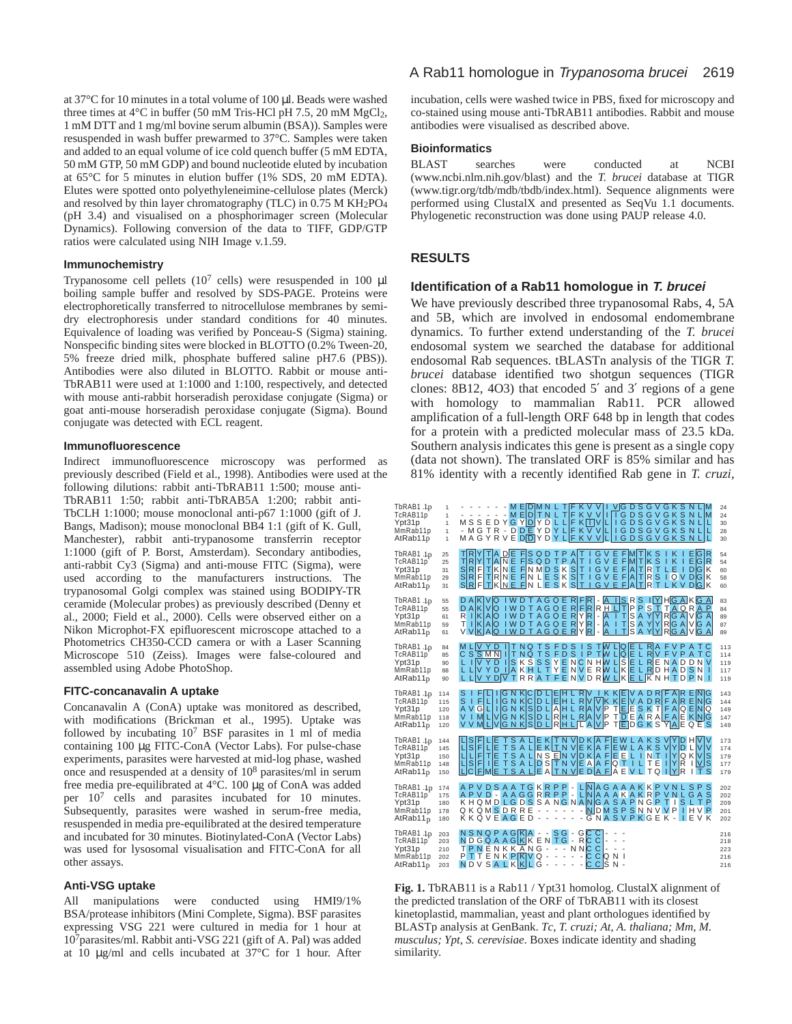at 37°C for 10 minutes in a total volume of 100 µl. Beads were washed three times at  $4^{\circ}$ C in buffer (50 mM Tris-HCl pH 7.5, 20 mM MgCl<sub>2</sub>, 1 mM DTT and 1 mg/ml bovine serum albumin (BSA)). Samples were resuspended in wash buffer prewarmed to 37°C. Samples were taken and added to an equal volume of ice cold quench buffer (5 mM EDTA, 50 mM GTP, 50 mM GDP) and bound nucleotide eluted by incubation at 65°C for 5 minutes in elution buffer (1% SDS, 20 mM EDTA). Elutes were spotted onto polyethyleneimine-cellulose plates (Merck) and resolved by thin layer chromatography (TLC) in 0.75 M KH2PO4 (pH 3.4) and visualised on a phosphorimager screen (Molecular Dynamics). Following conversion of the data to TIFF, GDP/GTP ratios were calculated using NIH Image v.1.59.

#### **Immunochemistry**

Trypanosome cell pellets  $(10^7 \text{ cells})$  were resuspended in 100 µl boiling sample buffer and resolved by SDS-PAGE. Proteins were electrophoretically transferred to nitrocellulose membranes by semidry electrophoresis under standard conditions for 40 minutes. Equivalence of loading was verified by Ponceau-S (Sigma) staining. Nonspecific binding sites were blocked in BLOTTO (0.2% Tween-20, 5% freeze dried milk, phosphate buffered saline pH7.6 (PBS)). Antibodies were also diluted in BLOTTO. Rabbit or mouse anti-TbRAB11 were used at 1:1000 and 1:100, respectively, and detected with mouse anti-rabbit horseradish peroxidase conjugate (Sigma) or goat anti-mouse horseradish peroxidase conjugate (Sigma). Bound conjugate was detected with ECL reagent.

#### **Immunofluorescence**

Indirect immunofluorescence microscopy was performed as previously described (Field et al., 1998). Antibodies were used at the following dilutions: rabbit anti-TbRAB11 1:500; mouse anti-

TbRAB11 1:50; rabbit anti-TbRAB5A 1:200; rabbit anti-TbCLH 1:1000; mouse monoclonal anti-p67 1:1000 (gift of J. Bangs, Madison); mouse monoclonal BB4 1:1 (gift of K. Gull, Manchester), rabbit anti-trypanosome transferrin receptor 1:1000 (gift of P. Borst, Amsterdam). Secondary antibodies, anti-rabbit Cy3 (Sigma) and anti-mouse FITC (Sigma), were used according to the manufacturers instructions. The trypanosomal Golgi complex was stained using BODIPY-TR ceramide (Molecular probes) as previously described (Denny et al., 2000; Field et al., 2000). Cells were observed either on a Nikon Microphot-FX epifluorescent microscope attached to a Photometrics CH350-CCD camera or with a Laser Scanning Microscope 510 (Zeiss). Images were false-coloured and assembled using Adobe PhotoShop.

#### **FITC-concanavalin A uptake**

Concanavalin A (ConA) uptake was monitored as described, with modifications (Brickman et al., 1995). Uptake was followed by incubating 10<sup>7</sup> BSF parasites in 1 ml of media containing 100 µg FITC-ConA (Vector Labs). For pulse-chase experiments, parasites were harvested at mid-log phase, washed once and resuspended at a density of 10<sup>8</sup> parasites/ml in serum free media pre-equilibrated at 4°C. 100 µg of ConA was added per 107 cells and parasites incubated for 10 minutes. Subsequently, parasites were washed in serum-free media, resuspended in media pre-equilibrated at the desired temperature and incubated for 30 minutes. Biotinylated-ConA (Vector Labs) was used for lysosomal visualisation and FITC-ConA for all other assays.

#### **Anti-VSG uptake**

All manipulations were conducted using HMI9/1% BSA/protease inhibitors (Mini Complete, Sigma). BSF parasites expressing VSG 221 were cultured in media for 1 hour at 107parasites/ml. Rabbit anti-VSG 221 (gift of A. Pal) was added at 10 µg/ml and cells incubated at 37°C for 1 hour. After

# A Rab11 homologue in Trypanosoma brucei 2619

incubation, cells were washed twice in PBS, fixed for microscopy and co-stained using mouse anti-TbRAB11 antibodies. Rabbit and mouse antibodies were visualised as described above.

## **Bioinformatics**

BLAST searches were conducted at NCBI (www.ncbi.nlm.nih.gov/blast) and the *T. brucei* database at TIGR (www.tigr.org/tdb/mdb/tbdb/index.html). Sequence alignments were performed using ClustalX and presented as SeqVu 1.1 documents. Phylogenetic reconstruction was done using PAUP release 4.0.

# **RESULTS**

#### **Identification of a Rab11 homologue in T. brucei**

We have previously described three trypanosomal Rabs, 4, 5A and 5B, which are involved in endosomal endomembrane dynamics. To further extend understanding of the *T. brucei* endosomal system we searched the database for additional endosomal Rab sequences. tBLASTn analysis of the TIGR *T. brucei* database identified two shotgun sequences (TIGR clones: 8B12, 4O3) that encoded 5′ and 3′ regions of a gene with homology to mammalian Rab11. PCR allowed amplification of a full-length ORF 648 bp in length that codes for a protein with a predicted molecular mass of 23.5 kDa. Southern analysis indicates this gene is present as a single copy (data not shown). The translated ORF is 85% similar and has 81% identity with a recently identified Rab gene in *T. cruzi*,



**Fig. 1.** TbRAB11 is a Rab11 / Ypt31 homolog. ClustalX alignment of the predicted translation of the ORF of TbRAB11 with its closest kinetoplastid, mammalian, yeast and plant orthologues identified by BLASTp analysis at GenBank. *Tc, T. cruzi; At, A. thaliana; Mm, M. musculus; Ypt, S. cerevisiae*. Boxes indicate identity and shading similarity.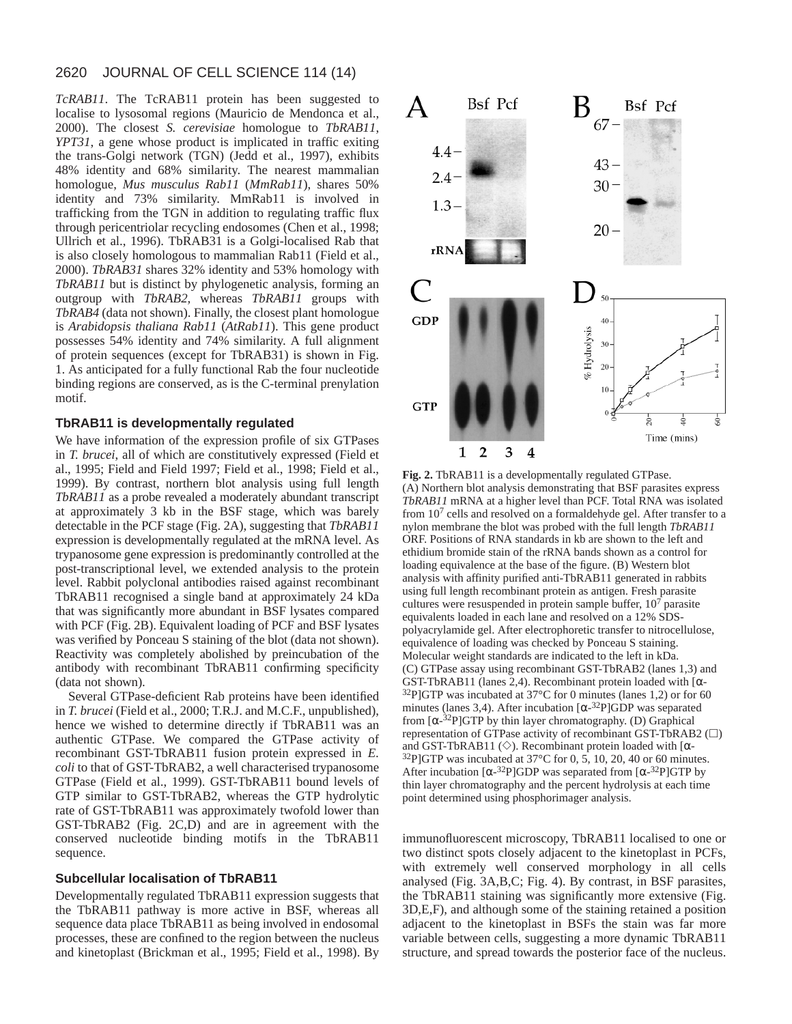*TcRAB11*. The TcRAB11 protein has been suggested to localise to lysosomal regions (Mauricio de Mendonca et al., 2000). The closest *S. cerevisiae* homologue to *TbRAB11*, *YPT31*, a gene whose product is implicated in traffic exiting the trans-Golgi network (TGN) (Jedd et al., 1997), exhibits 48% identity and 68% similarity. The nearest mammalian homologue, *Mus musculus Rab11* (*MmRab11*), shares 50% identity and 73% similarity. MmRab11 is involved in trafficking from the TGN in addition to regulating traffic flux through pericentriolar recycling endosomes (Chen et al., 1998; Ullrich et al., 1996). TbRAB31 is a Golgi-localised Rab that is also closely homologous to mammalian Rab11 (Field et al., 2000). *TbRAB31* shares 32% identity and 53% homology with *TbRAB11* but is distinct by phylogenetic analysis, forming an outgroup with *TbRAB2,* whereas *TbRAB11* groups with *TbRAB4* (data not shown). Finally, the closest plant homologue is *Arabidopsis thaliana Rab11* (*AtRab11*). This gene product possesses 54% identity and 74% similarity. A full alignment of protein sequences (except for TbRAB31) is shown in Fig. 1. As anticipated for a fully functional Rab the four nucleotide binding regions are conserved, as is the C-terminal prenylation motif.

### **TbRAB11 is developmentally regulated**

We have information of the expression profile of six GTPases in *T. brucei*, all of which are constitutively expressed (Field et al., 1995; Field and Field 1997; Field et al., 1998; Field et al., 1999). By contrast, northern blot analysis using full length *TbRAB11* as a probe revealed a moderately abundant transcript at approximately 3 kb in the BSF stage, which was barely detectable in the PCF stage (Fig. 2A), suggesting that *TbRAB11* expression is developmentally regulated at the mRNA level. As trypanosome gene expression is predominantly controlled at the post-transcriptional level, we extended analysis to the protein level. Rabbit polyclonal antibodies raised against recombinant TbRAB11 recognised a single band at approximately 24 kDa that was significantly more abundant in BSF lysates compared with PCF (Fig. 2B). Equivalent loading of PCF and BSF lysates was verified by Ponceau S staining of the blot (data not shown). Reactivity was completely abolished by preincubation of the antibody with recombinant TbRAB11 confirming specificity (data not shown).

Several GTPase-deficient Rab proteins have been identified in *T. brucei* (Field et al., 2000; T.R.J. and M.C.F., unpublished), hence we wished to determine directly if TbRAB11 was an authentic GTPase. We compared the GTPase activity of recombinant GST-TbRAB11 fusion protein expressed in *E. coli* to that of GST-TbRAB2, a well characterised trypanosome GTPase (Field et al., 1999). GST-TbRAB11 bound levels of GTP similar to GST-TbRAB2, whereas the GTP hydrolytic rate of GST-TbRAB11 was approximately twofold lower than GST-TbRAB2 (Fig. 2C,D) and are in agreement with the conserved nucleotide binding motifs in the TbRAB11 sequence.

# **Subcellular localisation of TbRAB11**

Developmentally regulated TbRAB11 expression suggests that the TbRAB11 pathway is more active in BSF, whereas all sequence data place TbRAB11 as being involved in endosomal processes, these are confined to the region between the nucleus and kinetoplast (Brickman et al., 1995; Field et al., 1998). By



**Fig. 2.** TbRAB11 is a developmentally regulated GTPase. (A) Northern blot analysis demonstrating that BSF parasites express *TbRAB11* mRNA at a higher level than PCF. Total RNA was isolated from 107 cells and resolved on a formaldehyde gel. After transfer to a nylon membrane the blot was probed with the full length *TbRAB11* ORF. Positions of RNA standards in kb are shown to the left and ethidium bromide stain of the rRNA bands shown as a control for loading equivalence at the base of the figure. (B) Western blot analysis with affinity purified anti-TbRAB11 generated in rabbits using full length recombinant protein as antigen. Fresh parasite cultures were resuspended in protein sample buffer, 10<sup>7</sup> parasite equivalents loaded in each lane and resolved on a 12% SDSpolyacrylamide gel. After electrophoretic transfer to nitrocellulose, equivalence of loading was checked by Ponceau S staining. Molecular weight standards are indicated to the left in kDa. (C) GTPase assay using recombinant GST-TbRAB2 (lanes 1,3) and GST-TbRAB11 (lanes 2,4). Recombinant protein loaded with [α-  $32P$ ]GTP was incubated at 37°C for 0 minutes (lanes 1,2) or for 60 minutes (lanes 3,4). After incubation  $\lceil \alpha^{-32}P \rceil$ GDP was separated from  $[\alpha^{-32}P]GTP$  by thin layer chromatography. (D) Graphical representation of GTPase activity of recombinant GST-TbRAB2  $(\Box)$ and GST-TbRAB11 ( $\diamond$ ). Recombinant protein loaded with [ $\alpha$ -32P]GTP was incubated at 37°C for 0, 5, 10, 20, 40 or 60 minutes. After incubation  $\left[\alpha^{-32}P\right]GDP$  was separated from  $\left[\alpha^{-32}P\right]GTP$  by thin layer chromatography and the percent hydrolysis at each time point determined using phosphorimager analysis.

immunofluorescent microscopy, TbRAB11 localised to one or two distinct spots closely adjacent to the kinetoplast in PCFs, with extremely well conserved morphology in all cells analysed (Fig. 3A,B,C; Fig. 4). By contrast, in BSF parasites, the TbRAB11 staining was significantly more extensive (Fig. 3D,E,F), and although some of the staining retained a position adjacent to the kinetoplast in BSFs the stain was far more variable between cells, suggesting a more dynamic TbRAB11 structure, and spread towards the posterior face of the nucleus.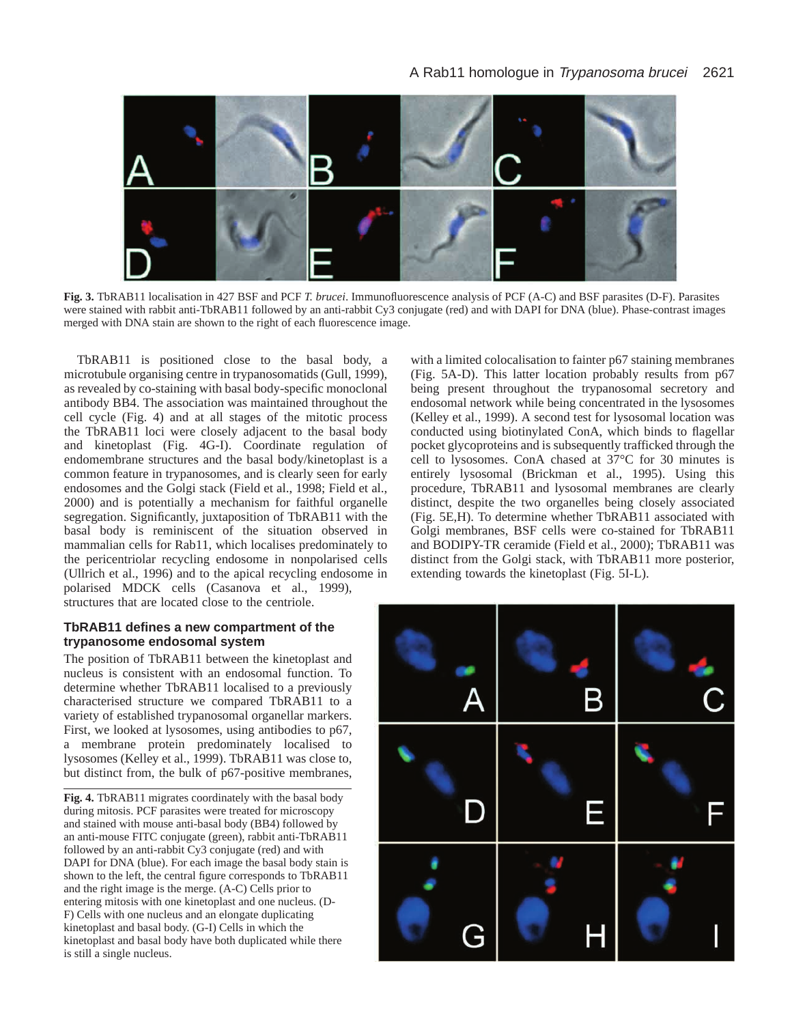

**Fig. 3.** TbRAB11 localisation in 427 BSF and PCF *T. brucei*. Immunofluorescence analysis of PCF (A-C) and BSF parasites (D-F). Parasites were stained with rabbit anti-TbRAB11 followed by an anti-rabbit Cy3 conjugate (red) and with DAPI for DNA (blue). Phase-contrast images merged with DNA stain are shown to the right of each fluorescence image.

TbRAB11 is positioned close to the basal body, a microtubule organising centre in trypanosomatids (Gull, 1999), as revealed by co-staining with basal body-specific monoclonal antibody BB4. The association was maintained throughout the cell cycle (Fig. 4) and at all stages of the mitotic process the TbRAB11 loci were closely adjacent to the basal body and kinetoplast (Fig. 4G-I). Coordinate regulation of endomembrane structures and the basal body/kinetoplast is a common feature in trypanosomes, and is clearly seen for early endosomes and the Golgi stack (Field et al., 1998; Field et al., 2000) and is potentially a mechanism for faithful organelle segregation. Significantly, juxtaposition of TbRAB11 with the basal body is reminiscent of the situation observed in mammalian cells for Rab11, which localises predominately to the pericentriolar recycling endosome in nonpolarised cells (Ullrich et al., 1996) and to the apical recycling endosome in polarised MDCK cells (Casanova et al., 1999), structures that are located close to the centriole.

# **TbRAB11 defines a new compartment of the trypanosome endosomal system**

The position of TbRAB11 between the kinetoplast and nucleus is consistent with an endosomal function. To determine whether TbRAB11 localised to a previously characterised structure we compared TbRAB11 to a variety of established trypanosomal organellar markers. First, we looked at lysosomes, using antibodies to p67, a membrane protein predominately localised to lysosomes (Kelley et al., 1999). TbRAB11 was close to, but distinct from, the bulk of p67-positive membranes,

**Fig. 4.** TbRAB11 migrates coordinately with the basal body during mitosis. PCF parasites were treated for microscopy and stained with mouse anti-basal body (BB4) followed by an anti-mouse FITC conjugate (green), rabbit anti-TbRAB11 followed by an anti-rabbit Cy3 conjugate (red) and with DAPI for DNA (blue). For each image the basal body stain is shown to the left, the central figure corresponds to TbRAB11 and the right image is the merge. (A-C) Cells prior to entering mitosis with one kinetoplast and one nucleus. (D-F) Cells with one nucleus and an elongate duplicating kinetoplast and basal body. (G-I) Cells in which the kinetoplast and basal body have both duplicated while there is still a single nucleus.

with a limited colocalisation to fainter p67 staining membranes (Fig. 5A-D). This latter location probably results from p67 being present throughout the trypanosomal secretory and endosomal network while being concentrated in the lysosomes (Kelley et al., 1999). A second test for lysosomal location was conducted using biotinylated ConA, which binds to flagellar pocket glycoproteins and is subsequently trafficked through the cell to lysosomes. ConA chased at 37°C for 30 minutes is entirely lysosomal (Brickman et al., 1995). Using this procedure, TbRAB11 and lysosomal membranes are clearly distinct, despite the two organelles being closely associated (Fig. 5E,H). To determine whether TbRAB11 associated with Golgi membranes, BSF cells were co-stained for TbRAB11 and BODIPY-TR ceramide (Field et al., 2000); TbRAB11 was distinct from the Golgi stack, with TbRAB11 more posterior, extending towards the kinetoplast (Fig. 5I-L).

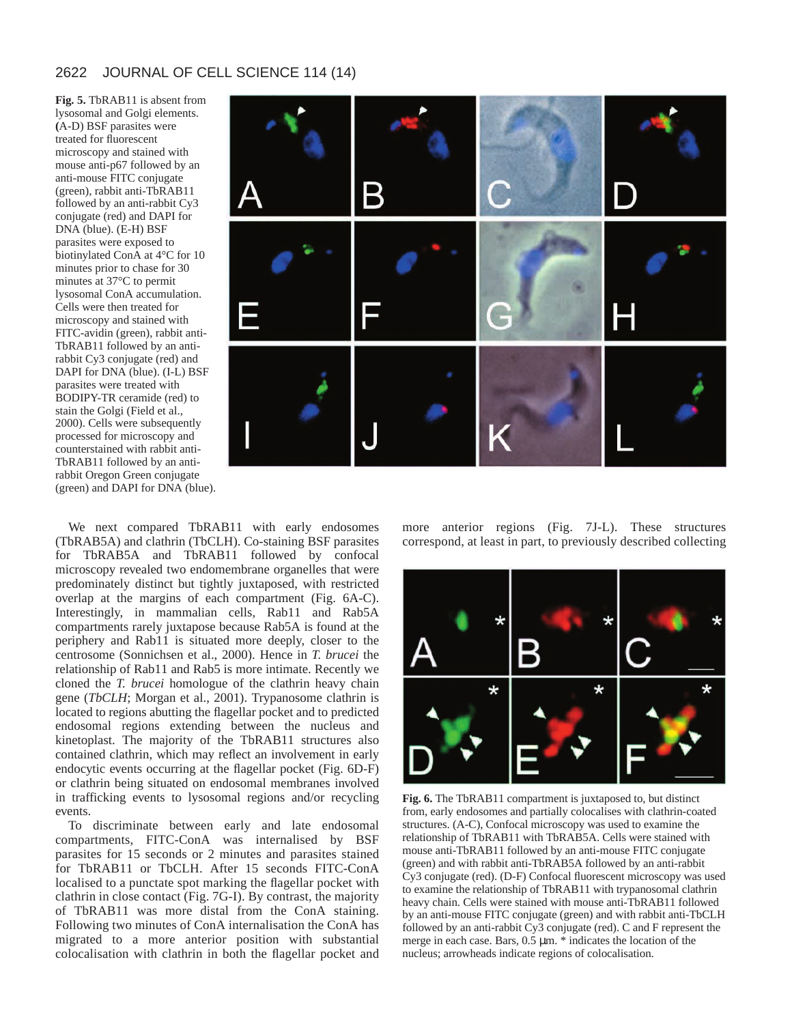**Fig. 5.** TbRAB11 is absent from lysosomal and Golgi elements. **(**A-D) BSF parasites were treated for fluorescent microscopy and stained with mouse anti-p67 followed by an anti-mouse FITC conjugate (green), rabbit anti-TbRAB11 followed by an anti-rabbit Cy3 conjugate (red) and DAPI for DNA (blue). (E-H) BSF parasites were exposed to biotinylated ConA at 4°C for 10 minutes prior to chase for 30 minutes at 37°C to permit lysosomal ConA accumulation. Cells were then treated for microscopy and stained with FITC-avidin (green), rabbit anti-TbRAB11 followed by an antirabbit Cy3 conjugate (red) and DAPI for DNA (blue). (I-L) BSF parasites were treated with BODIPY-TR ceramide (red) to stain the Golgi (Field et al., 2000). Cells were subsequently processed for microscopy and counterstained with rabbit anti-TbRAB11 followed by an antirabbit Oregon Green conjugate (green) and DAPI for DNA (blue).



We next compared TbRAB11 with early endosomes (TbRAB5A) and clathrin (TbCLH). Co-staining BSF parasites for TbRAB5A and TbRAB11 followed by confocal microscopy revealed two endomembrane organelles that were predominately distinct but tightly juxtaposed, with restricted overlap at the margins of each compartment (Fig. 6A-C). Interestingly, in mammalian cells, Rab11 and Rab5A compartments rarely juxtapose because Rab5A is found at the periphery and Rab11 is situated more deeply, closer to the centrosome (Sonnichsen et al., 2000). Hence in *T. brucei* the relationship of Rab11 and Rab5 is more intimate. Recently we cloned the *T. brucei* homologue of the clathrin heavy chain gene (*TbCLH*; Morgan et al., 2001). Trypanosome clathrin is located to regions abutting the flagellar pocket and to predicted endosomal regions extending between the nucleus and kinetoplast. The majority of the TbRAB11 structures also contained clathrin, which may reflect an involvement in early endocytic events occurring at the flagellar pocket (Fig. 6D-F) or clathrin being situated on endosomal membranes involved in trafficking events to lysosomal regions and/or recycling events.

To discriminate between early and late endosomal compartments, FITC-ConA was internalised by BSF parasites for 15 seconds or 2 minutes and parasites stained for TbRAB11 or TbCLH. After 15 seconds FITC-ConA localised to a punctate spot marking the flagellar pocket with clathrin in close contact (Fig. 7G-I). By contrast, the majority of TbRAB11 was more distal from the ConA staining. Following two minutes of ConA internalisation the ConA has migrated to a more anterior position with substantial colocalisation with clathrin in both the flagellar pocket and more anterior regions (Fig. 7J-L). These structures correspond, at least in part, to previously described collecting



**Fig. 6.** The TbRAB11 compartment is juxtaposed to, but distinct from, early endosomes and partially colocalises with clathrin-coated structures. (A-C), Confocal microscopy was used to examine the relationship of TbRAB11 with TbRAB5A. Cells were stained with mouse anti-TbRAB11 followed by an anti-mouse FITC conjugate (green) and with rabbit anti-TbRAB5A followed by an anti-rabbit Cy3 conjugate (red). (D-F) Confocal fluorescent microscopy was used to examine the relationship of TbRAB11 with trypanosomal clathrin heavy chain. Cells were stained with mouse anti-TbRAB11 followed by an anti-mouse FITC conjugate (green) and with rabbit anti-TbCLH followed by an anti-rabbit Cy3 conjugate (red). C and F represent the merge in each case. Bars*,* 0.5 µm. \* indicates the location of the nucleus; arrowheads indicate regions of colocalisation.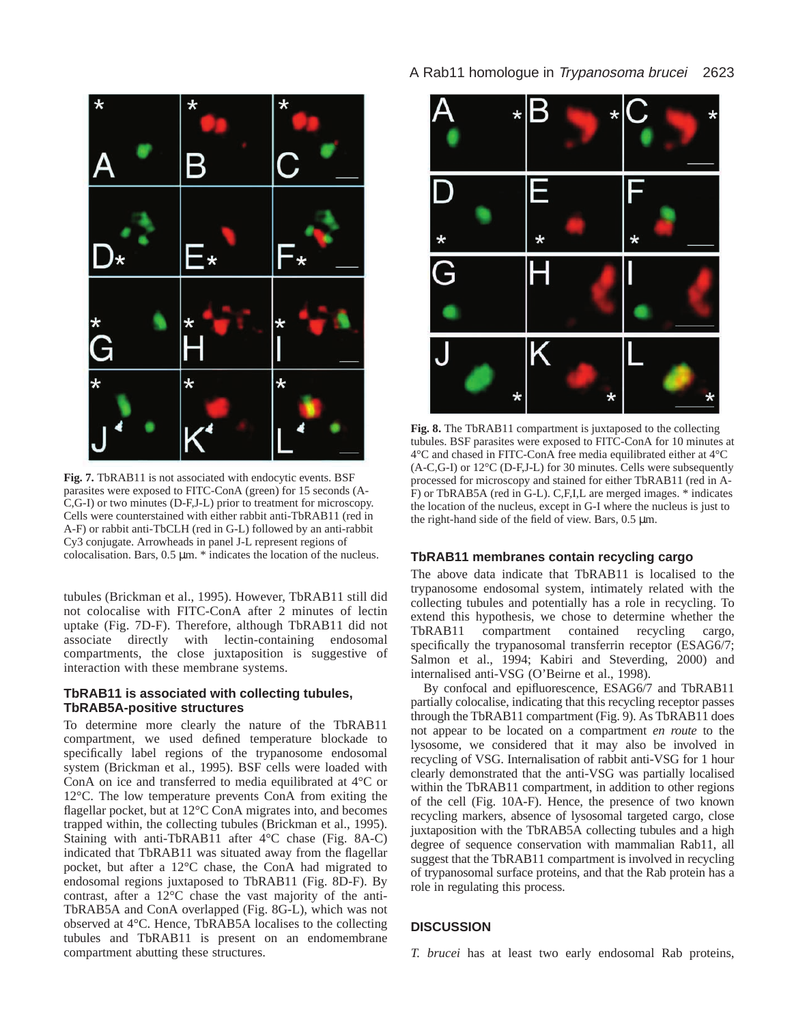

**Fig. 7.** TbRAB11 is not associated with endocytic events. BSF parasites were exposed to FITC-ConA (green) for 15 seconds (A-C,G-I) or two minutes (D-F,J-L) prior to treatment for microscopy. Cells were counterstained with either rabbit anti-TbRAB11 (red in A-F) or rabbit anti-TbCLH (red in G-L) followed by an anti-rabbit Cy3 conjugate. Arrowheads in panel J-L represent regions of colocalisation. Bars, 0.5 µm. \* indicates the location of the nucleus.

tubules (Brickman et al., 1995). However, TbRAB11 still did not colocalise with FITC-ConA after 2 minutes of lectin uptake (Fig. 7D-F). Therefore, although TbRAB11 did not associate directly with lectin-containing endosomal compartments, the close juxtaposition is suggestive of interaction with these membrane systems.

# **TbRAB11 is associated with collecting tubules, TbRAB5A-positive structures**

To determine more clearly the nature of the TbRAB11 compartment, we used defined temperature blockade to specifically label regions of the trypanosome endosomal system (Brickman et al., 1995). BSF cells were loaded with ConA on ice and transferred to media equilibrated at 4°C or 12°C. The low temperature prevents ConA from exiting the flagellar pocket, but at 12°C ConA migrates into, and becomes trapped within, the collecting tubules (Brickman et al., 1995). Staining with anti-TbRAB11 after 4°C chase (Fig. 8A-C) indicated that TbRAB11 was situated away from the flagellar pocket, but after a 12°C chase, the ConA had migrated to endosomal regions juxtaposed to TbRAB11 (Fig. 8D-F). By contrast, after a 12°C chase the vast majority of the anti-TbRAB5A and ConA overlapped (Fig. 8G-L), which was not observed at 4°C. Hence, TbRAB5A localises to the collecting tubules and TbRAB11 is present on an endomembrane compartment abutting these structures.



**Fig. 8.** The TbRAB11 compartment is juxtaposed to the collecting tubules. BSF parasites were exposed to FITC-ConA for 10 minutes at 4°C and chased in FITC-ConA free media equilibrated either at 4°C (A-C,G-I) or 12°C (D-F,J-L) for 30 minutes. Cells were subsequently processed for microscopy and stained for either TbRAB11 (red in A-F) or TbRAB5A (red in G-L). C,F,I,L are merged images. \* indicates the location of the nucleus, except in G-I where the nucleus is just to the right-hand side of the field of view. Bars*,* 0.5 µm.

# **TbRAB11 membranes contain recycling cargo**

The above data indicate that TbRAB11 is localised to the trypanosome endosomal system, intimately related with the collecting tubules and potentially has a role in recycling. To extend this hypothesis, we chose to determine whether the TbRAB11 compartment contained recycling cargo, specifically the trypanosomal transferrin receptor (ESAG6/7; Salmon et al., 1994; Kabiri and Steverding, 2000) and internalised anti-VSG (O'Beirne et al., 1998).

By confocal and epifluorescence, ESAG6/7 and TbRAB11 partially colocalise, indicating that this recycling receptor passes through the TbRAB11 compartment (Fig. 9). As TbRAB11 does not appear to be located on a compartment *en route* to the lysosome, we considered that it may also be involved in recycling of VSG. Internalisation of rabbit anti-VSG for 1 hour clearly demonstrated that the anti-VSG was partially localised within the TbRAB11 compartment, in addition to other regions of the cell (Fig. 10A-F). Hence, the presence of two known recycling markers, absence of lysosomal targeted cargo, close juxtaposition with the TbRAB5A collecting tubules and a high degree of sequence conservation with mammalian Rab11, all suggest that the TbRAB11 compartment is involved in recycling of trypanosomal surface proteins, and that the Rab protein has a role in regulating this process.

# **DISCUSSION**

*T. brucei* has at least two early endosomal Rab proteins,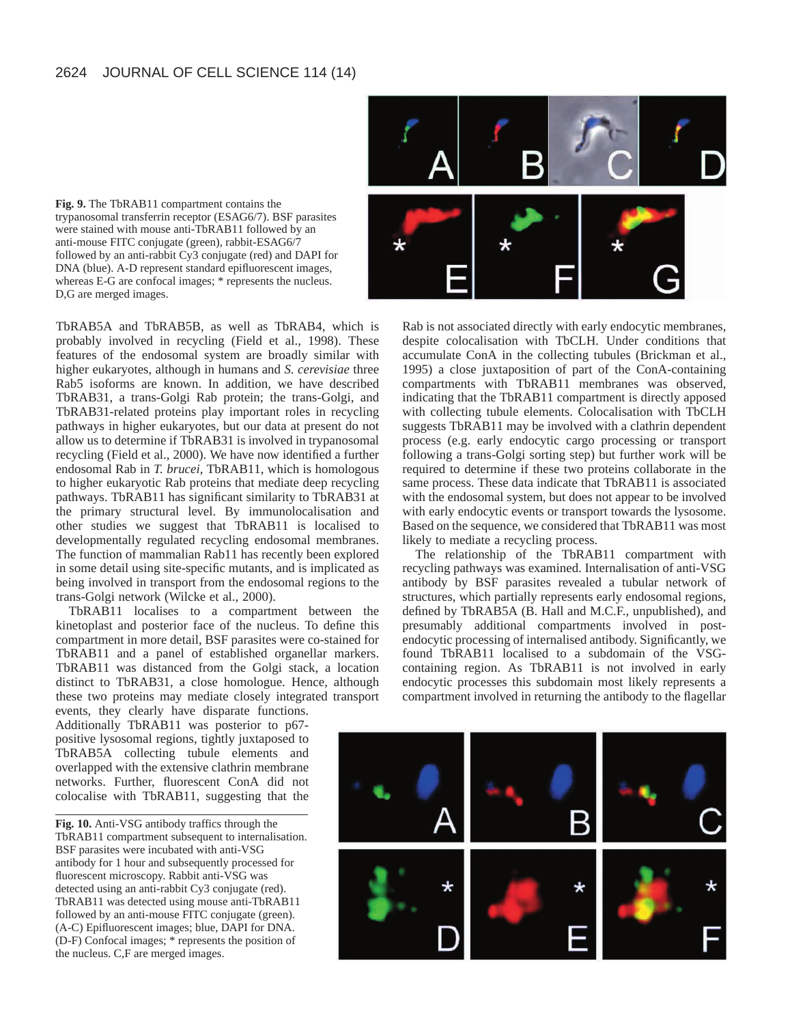

**Fig. 9.** The TbRAB11 compartment contains the trypanosomal transferrin receptor (ESAG6/7). BSF parasites were stained with mouse anti-TbRAB11 followed by an anti-mouse FITC conjugate (green), rabbit-ESAG6/7 followed by an anti-rabbit Cy3 conjugate (red) and DAPI for DNA (blue). A-D represent standard epifluorescent images, whereas E-G are confocal images; \* represents the nucleus. D,G are merged images.

TbRAB5A and TbRAB5B, as well as TbRAB4, which is probably involved in recycling (Field et al., 1998). These features of the endosomal system are broadly similar with higher eukaryotes, although in humans and *S. cerevisiae* three Rab5 isoforms are known. In addition, we have described TbRAB31, a trans-Golgi Rab protein; the trans-Golgi, and TbRAB31-related proteins play important roles in recycling pathways in higher eukaryotes, but our data at present do not allow us to determine if TbRAB31 is involved in trypanosomal recycling (Field et al., 2000). We have now identified a further endosomal Rab in *T. brucei*, TbRAB11, which is homologous to higher eukaryotic Rab proteins that mediate deep recycling pathways. TbRAB11 has significant similarity to TbRAB31 at the primary structural level. By immunolocalisation and other studies we suggest that TbRAB11 is localised to developmentally regulated recycling endosomal membranes. The function of mammalian Rab11 has recently been explored in some detail using site-specific mutants, and is implicated as being involved in transport from the endosomal regions to the trans-Golgi network (Wilcke et al., 2000).

TbRAB11 localises to a compartment between the kinetoplast and posterior face of the nucleus. To define this compartment in more detail, BSF parasites were co-stained for TbRAB11 and a panel of established organellar markers. TbRAB11 was distanced from the Golgi stack, a location distinct to TbRAB31, a close homologue. Hence, although these two proteins may mediate closely integrated transport

events, they clearly have disparate functions. Additionally TbRAB11 was posterior to p67 positive lysosomal regions, tightly juxtaposed to TbRAB5A collecting tubule elements and overlapped with the extensive clathrin membrane networks. Further, fluorescent ConA did not colocalise with TbRAB11, suggesting that the

**Fig. 10.** Anti-VSG antibody traffics through the TbRAB11 compartment subsequent to internalisation. BSF parasites were incubated with anti-VSG antibody for 1 hour and subsequently processed for fluorescent microscopy. Rabbit anti-VSG was detected using an anti-rabbit Cy3 conjugate (red). TbRAB11 was detected using mouse anti-TbRAB11 followed by an anti-mouse FITC conjugate (green). (A-C) Epifluorescent images; blue, DAPI for DNA. (D-F) Confocal images; \* represents the position of the nucleus. C,F are merged images.

Rab is not associated directly with early endocytic membranes, despite colocalisation with TbCLH. Under conditions that accumulate ConA in the collecting tubules (Brickman et al., 1995) a close juxtaposition of part of the ConA-containing compartments with TbRAB11 membranes was observed, indicating that the TbRAB11 compartment is directly apposed with collecting tubule elements. Colocalisation with TbCLH suggests TbRAB11 may be involved with a clathrin dependent process (e.g. early endocytic cargo processing or transport following a trans-Golgi sorting step) but further work will be required to determine if these two proteins collaborate in the same process. These data indicate that TbRAB11 is associated with the endosomal system, but does not appear to be involved with early endocytic events or transport towards the lysosome. Based on the sequence, we considered that TbRAB11 was most likely to mediate a recycling process.

The relationship of the TbRAB11 compartment with recycling pathways was examined. Internalisation of anti-VSG antibody by BSF parasites revealed a tubular network of structures, which partially represents early endosomal regions, defined by TbRAB5A (B. Hall and M.C.F., unpublished), and presumably additional compartments involved in postendocytic processing of internalised antibody. Significantly, we found TbRAB11 localised to a subdomain of the VSGcontaining region. As TbRAB11 is not involved in early endocytic processes this subdomain most likely represents a compartment involved in returning the antibody to the flagellar

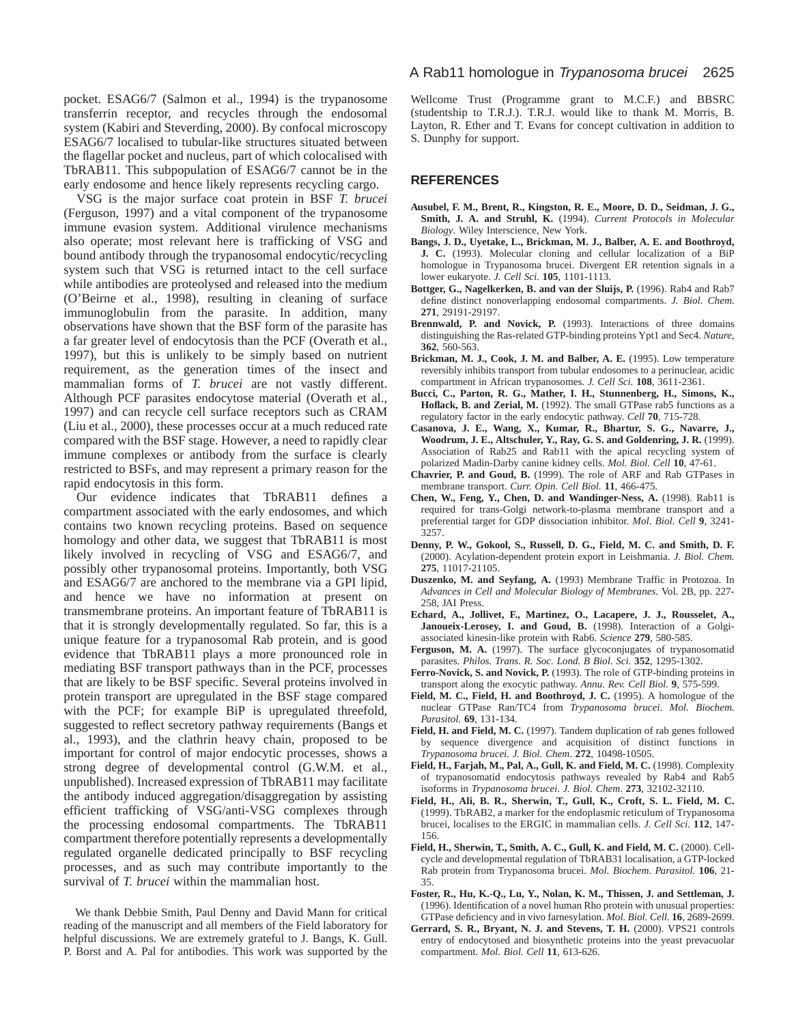pocket. ESAG6/7 (Salmon et al., 1994) is the trypanosome transferrin receptor, and recycles through the endosomal system (Kabiri and Steverding, 2000). By confocal microscopy ESAG6/7 localised to tubular-like structures situated between the flagellar pocket and nucleus, part of which colocalised with TbRAB11. This subpopulation of ESAG6/7 cannot be in the early endosome and hence likely represents recycling cargo.

VSG is the major surface coat protein in BSF *T. brucei* (Ferguson, 1997) and a vital component of the trypanosome immune evasion system. Additional virulence mechanisms also operate; most relevant here is trafficking of VSG and bound antibody through the trypanosomal endocytic/recycling system such that VSG is returned intact to the cell surface while antibodies are proteolysed and released into the medium (O'Beirne et al., 1998), resulting in cleaning of surface immunoglobulin from the parasite. In addition, many observations have shown that the BSF form of the parasite has a far greater level of endocytosis than the PCF (Overath et al., 1997), but this is unlikely to be simply based on nutrient requirement, as the generation times of the insect and mammalian forms of *T. brucei* are not vastly different. Although PCF parasites endocytose material (Overath et al., 1997) and can recycle cell surface receptors such as CRAM (Liu et al., 2000), these processes occur at a much reduced rate compared with the BSF stage. However, a need to rapidly clear immune complexes or antibody from the surface is clearly restricted to BSFs, and may represent a primary reason for the rapid endocytosis in this form.

Our evidence indicates that TbRAB11 defines a compartment associated with the early endosomes, and which contains two known recycling proteins. Based on sequence homology and other data, we suggest that TbRAB11 is most likely involved in recycling of VSG and ESAG6/7, and possibly other trypanosomal proteins. Importantly, both VSG and ESAG6/7 are anchored to the membrane via a GPI lipid, and hence we have no information at present on transmembrane proteins. An important feature of TbRAB11 is that it is strongly developmentally regulated. So far, this is a unique feature for a trypanosomal Rab protein, and is good evidence that TbRAB11 plays a more pronounced role in mediating BSF transport pathways than in the PCF, processes that are likely to be BSF specific. Several proteins involved in protein transport are upregulated in the BSF stage compared with the PCF; for example BiP is upregulated threefold, suggested to reflect secretory pathway requirements (Bangs et al., 1993), and the clathrin heavy chain, proposed to be important for control of major endocytic processes, shows a strong degree of developmental control (G.W.M. et al., unpublished). Increased expression of TbRAB11 may facilitate the antibody induced aggregation/disaggregation by assisting efficient trafficking of VSG/anti-VSG complexes through the processing endosomal compartments. The TbRAB11 compartment therefore potentially represents a developmentally regulated organelle dedicated principally to BSF recycling processes, and as such may contribute importantly to the survival of *T. brucei* within the mammalian host.

We thank Debbie Smith, Paul Denny and David Mann for critical reading of the manuscript and all members of the Field laboratory for helpful discussions. We are extremely grateful to J. Bangs, K. Gull. P. Borst and A. Pal for antibodies. This work was supported by the

Wellcome Trust (Programme grant to M.C.F.) and BBSRC (studentship to T.R.J.). T.R.J. would like to thank M. Morris, B. Layton, R. Ether and T. Evans for concept cultivation in addition to S. Dunphy for support.

# **REFERENCES**

- **Ausubel, F. M., Brent, R., Kingston, R. E., Moore, D. D., Seidman, J. G., Smith, J. A. and Struhl, K.** (1994). *Current Protocols in Molecular Biology*. Wiley Interscience, New York.
- **Bangs, J. D., Uyetake, L., Brickman, M. J., Balber, A. E. and Boothroyd, J. C.** (1993). Molecular cloning and cellular localization of a BiP homologue in Trypanosoma brucei. Divergent ER retention signals in a lower eukaryote. *J. Cell Sci.* **105**, 1101-1113.
- Bottger, G., Nagelkerken, B. and van der Sluijs, P. (1996). Rab4 and Rab7 define distinct nonoverlapping endosomal compartments. *J. Biol. Chem*. **271**, 29191-29197.
- **Brennwald, P. and Novick, P.** (1993). Interactions of three domains distinguishing the Ras-related GTP-binding proteins Ypt1 and Sec4. *Nature*, **362**, 560-563.
- **Brickman, M. J., Cook, J. M. and Balber, A. E.** (1995). Low temperature reversibly inhibits transport from tubular endosomes to a perinuclear, acidic compartment in African trypanosomes. *J. Cell Sci.* **108**, 3611-2361.
- **Bucci, C., Parton, R. G., Mather, I. H., Stunnenberg, H., Simons, K.,** Hoflack, B. and Zerial, M. (1992). The small GTPase rab5 functions as a regulatory factor in the early endocytic pathway. *Cell* **70**, 715-728.
- **Casanova, J. E., Wang, X., Kumar, R., Bhartur, S. G., Navarre, J., Woodrum, J. E., Altschuler, Y., Ray, G. S. and Goldenring, J. R.** (1999). Association of Rab25 and Rab11 with the apical recycling system of polarized Madin-Darby canine kidney cells. *Mol. Biol. Cell* **10**, 47-61.
- **Chavrier, P. and Goud, B.** (1999). The role of ARF and Rab GTPases in membrane transport. *Curr. Opin. Cell Biol.* **11**, 466-475.
- **Chen, W., Feng, Y., Chen, D. and Wandinger-Ness, A.** (1998). Rab11 is required for trans-Golgi network-to-plasma membrane transport and a preferential target for GDP dissociation inhibitor. *Mol. Biol. Cell* **9**, 3241-  $3257$
- **Denny, P. W., Gokool, S., Russell, D. G., Field, M. C. and Smith, D. F.** (2000). Acylation-dependent protein export in Leishmania. *J. Biol. Chem.* **275**, 11017-21105.
- **Duszenko, M. and Seyfang, A.** (1993) Membrane Traffic in Protozoa. In *Advances in Cell and Molecular Biology of Membranes.* Vol. 2B, pp. 227- 258, JAI Press.
- **Echard, A., Jollivet, F., Martinez, O., Lacapere, J. J., Rousselet, A.,** Janoueix-Lerosey, I. and Goud, B. (1998). Interaction of a Golgiassociated kinesin-like protein with Rab6. *Science* **279**, 580-585.
- Ferguson, M. A. (1997). The surface glycoconjugates of trypanosomatid parasites. *Philos. Trans. R. Soc. Lond. B Biol. Sci.* **352**, 1295-1302.
- Ferro-Novick, S. and Novick, P. (1993). The role of GTP-binding proteins in transport along the exocytic pathway. *Annu. Rev. Cell Biol.* **9**, 575-599.
- Field, M. C., Field, H. and Boothroyd, J. C. (1995). A homologue of the nuclear GTPase Ran/TC4 from *Trypanosoma brucei*. *Mol. Biochem. Parasitol.* **69**, 131-134.
- Field, H. and Field, M. C. (1997). Tandem duplication of rab genes followed by sequence divergence and acquisition of distinct functions in *Trypanosoma brucei. J. Biol. Chem*. **272**, 10498-10505.
- Field, H., Farjah, M., Pal, A., Gull, K. and Field, M. C. (1998). Complexity of trypanosomatid endocytosis pathways revealed by Rab4 and Rab5 isoforms in *Trypanosoma brucei*. *J. Biol. Chem*. **273**, 32102-32110.
- **Field, H., Ali, B. R., Sherwin, T., Gull, K., Croft, S. L. Field, M. C.** (1999). TbRAB2, a marker for the endoplasmic reticulum of Trypanosoma brucei, localises to the ERGIC in mammalian cells. *J. Cell Sci.* **112**, 147- 156.
- **Field, H., Sherwin, T., Smith, A. C., Gull, K. and Field, M. C. (2000). Cell**cycle and developmental regulation of TbRAB31 localisation, a GTP-locked Rab protein from Trypanosoma brucei. *Mol. Biochem. Parasitol.* **106**, 21- 35.
- **Foster, R., Hu, K.-Q., Lu, Y., Nolan, K. M., Thissen, J. and Settleman, J.** (1996). Identification of a novel human Rho protein with unusual properties: GTPase deficiency and in vivo farnesylation. *Mol. Biol. Cell.* **16**, 2689-2699.
- Gerrard, S. R., Bryant, N. J. and Stevens, T. H. (2000). VPS21 controls entry of endocytosed and biosynthetic proteins into the yeast prevacuolar compartment. *Mol. Biol. Cell* **11**, 613-626.